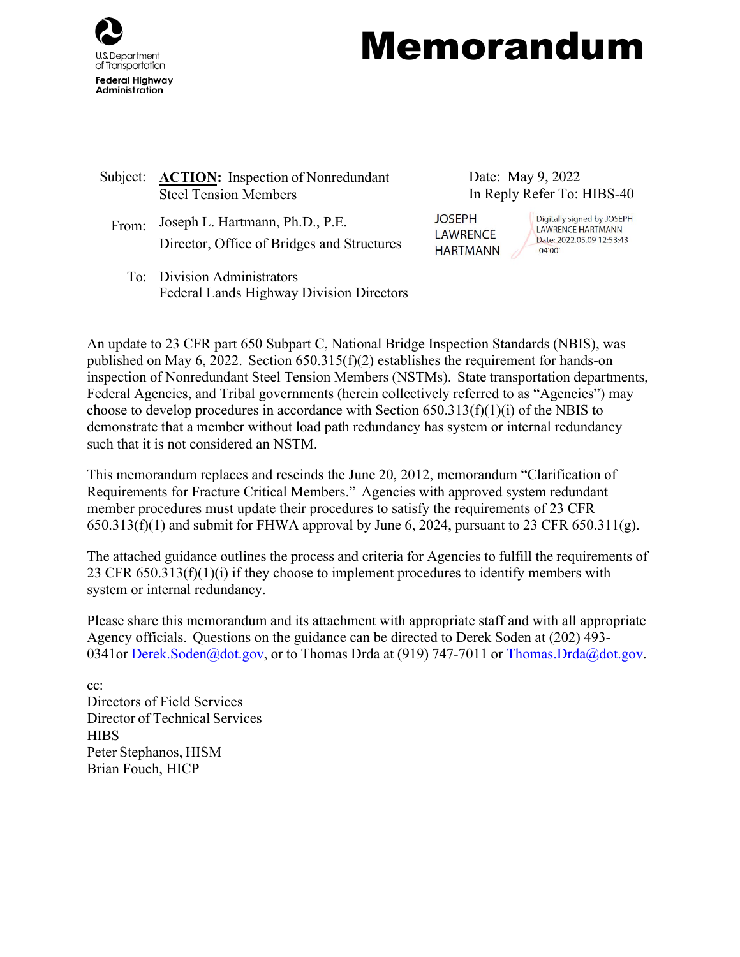

# Memorandum

- Subject: **ACTION:** Inspection of Nonredundant Steel Tension Members
	- From: Joseph L. Hartmann, Ph.D., P.E. JOSEPH Director, Office of Bridges and Structures
- Date: May 9, 2022 In Reply Refer To: HIBS-40

**LAWRENCE** HARTMANN -04'00'

Digitally signed by JOSEPH<br>LAWRENCE HARTMANN WRENCE LAWRENCE HARTMANN Date: 2022.05.09 12:53:43

To: Division Administrators Federal Lands Highway Division Directors

An update to 23 CFR part 650 Subpart C, National Bridge Inspection Standards (NBIS), was published on May 6, 2022. Section 650.315(f)(2) establishes the requirement for hands-on inspection of Nonredundant Steel Tension Members (NSTMs). State transportation departments, Federal Agencies, and Tribal governments (herein collectively referred to as "Agencies") may choose to develop procedures in accordance with Section  $650.313(f)(1)(i)$  of the NBIS to demonstrate that a member without load path redundancy has system or internal redundancy such that it is not considered an NSTM.

This memorandum replaces and rescinds the June 20, 2012, memorandum "Clarification of Requirements for Fracture Critical Members." Agencies with approved system redundant member procedures must update their procedures to satisfy the requirements of 23 CFR  $650.313(f)(1)$  and submit for FHWA approval by June 6, 2024, pursuant to 23 CFR  $650.311(g)$ .

The attached guidance outlines the process and criteria for Agencies to fulfill the requirements of 23 CFR 650.313(f)(1)(i) if they choose to implement procedures to identify members with system or internal redundancy.

Please share this memorandum and its attachment with appropriate staff and with all appropriate Agency officials. Questions on the guidance can be directed to Derek Soden at (202) 493- 0341or [Derek.Soden@dot.gov,](mailto:Samantha.Lubkin@dot.gov) or to Thomas Drda at (919) 747-7011 or [Thomas.Drda@dot.gov.](mailto:Thomas.Drda@dot.gov)

cc: Directors of Field Services Director of Technical Services **HIBS** Peter Stephanos, HISM Brian Fouch, HICP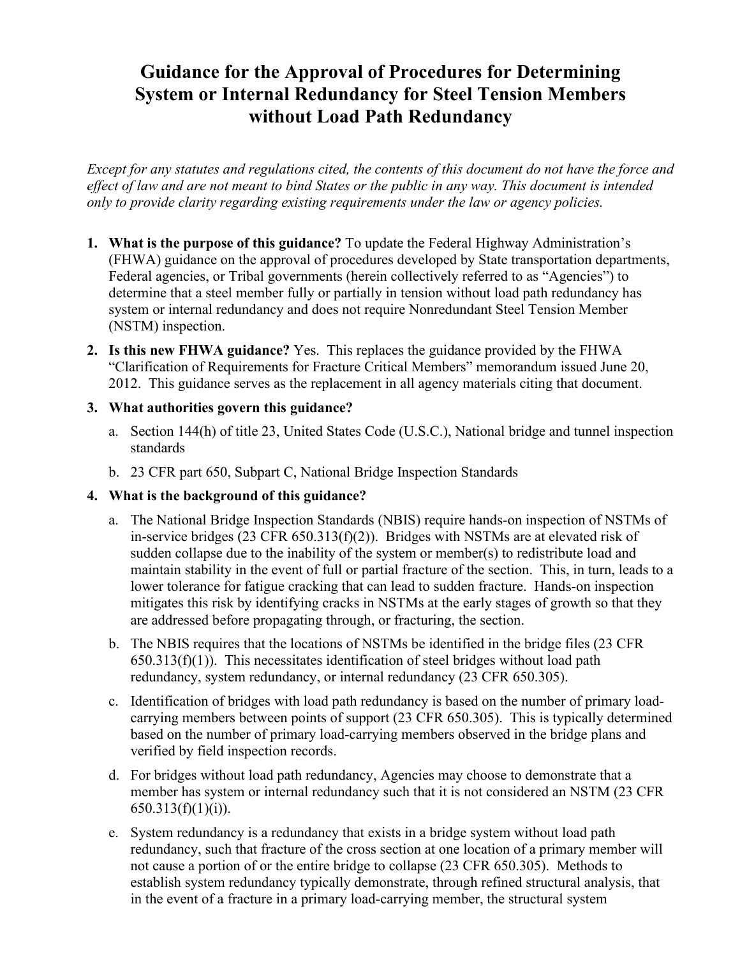# **Guidance for the Approval of Procedures for Determining System or Internal Redundancy for Steel Tension Members without Load Path Redundancy**

*Except for any statutes and regulations cited, the contents of this document do not have the force and effect of law and are not meant to bind States or the public in any way. This document is intended only to provide clarity regarding existing requirements under the law or agency policies.*

- **1. What is the purpose of this guidance?** To update the Federal Highway Administration's (FHWA) guidance on the approval of procedures developed by State transportation departments, Federal agencies, or Tribal governments (herein collectively referred to as "Agencies") to determine that a steel member fully or partially in tension without load path redundancy has system or internal redundancy and does not require Nonredundant Steel Tension Member (NSTM) inspection.
- **2. Is this new FHWA guidance?** Yes. This replaces the guidance provided by the FHWA "Clarification of Requirements for Fracture Critical Members" memorandum issued June 20, 2012. This guidance serves as the replacement in all agency materials citing that document.

# **3. What authorities govern this guidance?**

- a. Section 144(h) of title 23, United States Code (U.S.C.), National bridge and tunnel inspection standards
- b. 23 CFR part 650, Subpart C, National Bridge Inspection Standards

# **4. What is the background of this guidance?**

- a. The National Bridge Inspection Standards (NBIS) require hands-on inspection of NSTMs of in-service bridges (23 CFR 650.313(f)(2)). Bridges with NSTMs are at elevated risk of sudden collapse due to the inability of the system or member(s) to redistribute load and maintain stability in the event of full or partial fracture of the section. This, in turn, leads to a lower tolerance for fatigue cracking that can lead to sudden fracture. Hands-on inspection mitigates this risk by identifying cracks in NSTMs at the early stages of growth so that they are addressed before propagating through, or fracturing, the section.
- b. The NBIS requires that the locations of NSTMs be identified in the bridge files (23 CFR  $650.313(f)(1)$ . This necessitates identification of steel bridges without load path redundancy, system redundancy, or internal redundancy (23 CFR 650.305).
- c. Identification of bridges with load path redundancy is based on the number of primary loadcarrying members between points of support (23 CFR 650.305). This is typically determined based on the number of primary load-carrying members observed in the bridge plans and verified by field inspection records.
- d. For bridges without load path redundancy, Agencies may choose to demonstrate that a member has system or internal redundancy such that it is not considered an NSTM (23 CFR  $650.313(f)(1)(i)$ ).
- e. System redundancy is a redundancy that exists in a bridge system without load path redundancy, such that fracture of the cross section at one location of a primary member will not cause a portion of or the entire bridge to collapse (23 CFR 650.305). Methods to establish system redundancy typically demonstrate, through refined structural analysis, that in the event of a fracture in a primary load-carrying member, the structural system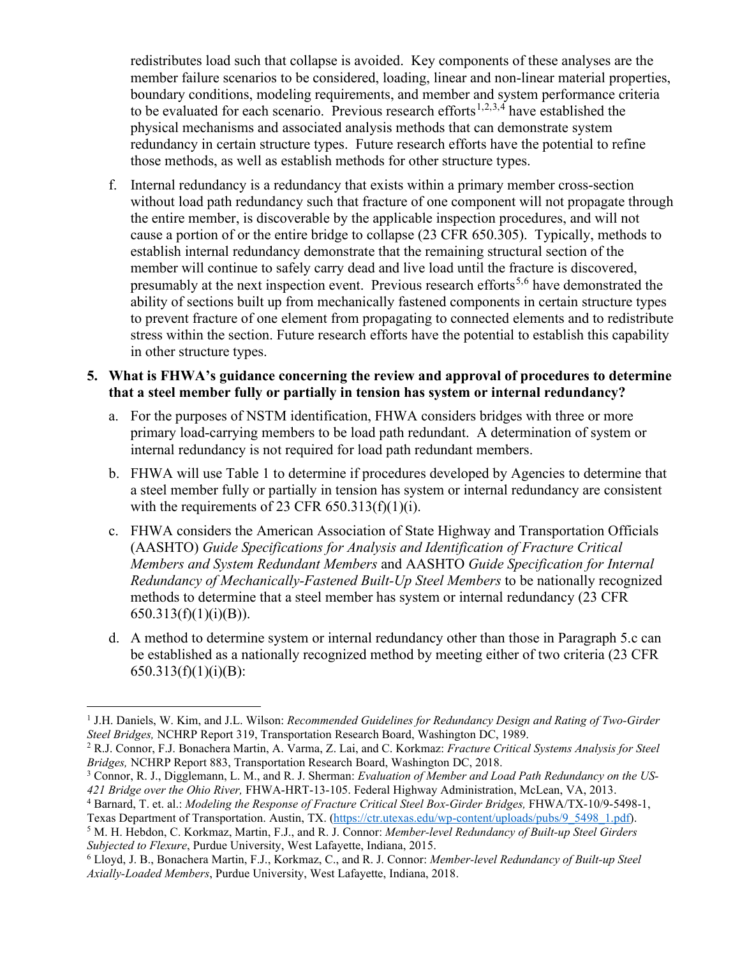redistributes load such that collapse is avoided. Key components of these analyses are the member failure scenarios to be considered, loading, linear and non-linear material properties, boundary conditions, modeling requirements, and member and system performance criteria to be evaluated for each scenario. Previous research efforts<sup>[1](#page-2-0),[2](#page-2-1),[3,](#page-2-2)[4](#page-2-3)</sup> have established the physical mechanisms and associated analysis methods that can demonstrate system redundancy in certain structure types. Future research efforts have the potential to refine those methods, as well as establish methods for other structure types.

f. Internal redundancy is a redundancy that exists within a primary member cross-section without load path redundancy such that fracture of one component will not propagate through the entire member, is discoverable by the applicable inspection procedures, and will not cause a portion of or the entire bridge to collapse (23 CFR 650.305). Typically, methods to establish internal redundancy demonstrate that the remaining structural section of the member will continue to safely carry dead and live load until the fracture is discovered, presumably at the next inspection event. Previous research efforts<sup>[5](#page-2-4),[6](#page-2-5)</sup> have demonstrated the ability of sections built up from mechanically fastened components in certain structure types to prevent fracture of one element from propagating to connected elements and to redistribute stress within the section. Future research efforts have the potential to establish this capability in other structure types.

# **5. What is FHWA's guidance concerning the review and approval of procedures to determine that a steel member fully or partially in tension has system or internal redundancy?**

- a. For the purposes of NSTM identification, FHWA considers bridges with three or more primary load-carrying members to be load path redundant. A determination of system or internal redundancy is not required for load path redundant members.
- b. FHWA will use Table 1 to determine if procedures developed by Agencies to determine that a steel member fully or partially in tension has system or internal redundancy are consistent with the requirements of 23 CFR  $650.313(f)(1)(i)$ .
- c. FHWA considers the American Association of State Highway and Transportation Officials (AASHTO) *Guide Specifications for Analysis and Identification of Fracture Critical Members and System Redundant Members* and AASHTO *Guide Specification for Internal Redundancy of Mechanically-Fastened Built-Up Steel Members* to be nationally recognized methods to determine that a steel member has system or internal redundancy (23 CFR  $650.313(f)(1)(i)(B)$ ).
- d. A method to determine system or internal redundancy other than those in Paragraph 5.c can be established as a nationally recognized method by meeting either of two criteria (23 CFR  $650.313(f)(1)(i)(B):$

<span id="page-2-4"></span>*Subjected to Flexure*, Purdue University, West Lafayette, Indiana, 2015.

<span id="page-2-0"></span><sup>1</sup> J.H. Daniels, W. Kim, and J.L. Wilson: *Recommended Guidelines for Redundancy Design and Rating of Two-Girder Steel Bridges,* NCHRP Report 319, Transportation Research Board, Washington DC, 1989.<br><sup>2</sup> R.J. Connor, F.J. Bonachera Martin, A. Varma, Z. Lai, and C. Korkmaz: *Fracture Critical Systems Analysis for Steel* 

<span id="page-2-1"></span>

<span id="page-2-2"></span>*Bridges, NCHRP Report 883, Transportation Research Board, Washington DC, 2018.*<br><sup>3</sup> Connor, R. J., Digglemann, L. M., and R. J. Sherman: *Evaluation of Member and Load Path Redundancy on the US-*<br>421 *Bridge over the Ohio* 

<span id="page-2-3"></span><sup>&</sup>lt;sup>4</sup> Barnard, T. et. al.: Modeling the Response of Fracture Critical Steel Box-Girder Bridges, FHWA/TX-10/9-5498-1,

Texas Department of Transportation. Austin, TX. [\(https://ctr.utexas.edu/wp-content/uploads/pubs/9\\_5498\\_1.pdf\)](https://ctr.utexas.edu/wp-content/uploads/pubs/9_5498_1.pdf).<br><sup>5</sup> M. H. Hebdon, C. Korkmaz, Martin, F.J., and R. J. Connor: *Member-level Redundancy of Built-up Steel Girder* 

<span id="page-2-5"></span><sup>6</sup> Lloyd, J. B., Bonachera Martin, F.J., Korkmaz, C., and R. J. Connor: *Member-level Redundancy of Built-up Steel Axially-Loaded Members*, Purdue University, West Lafayette, Indiana, 2018.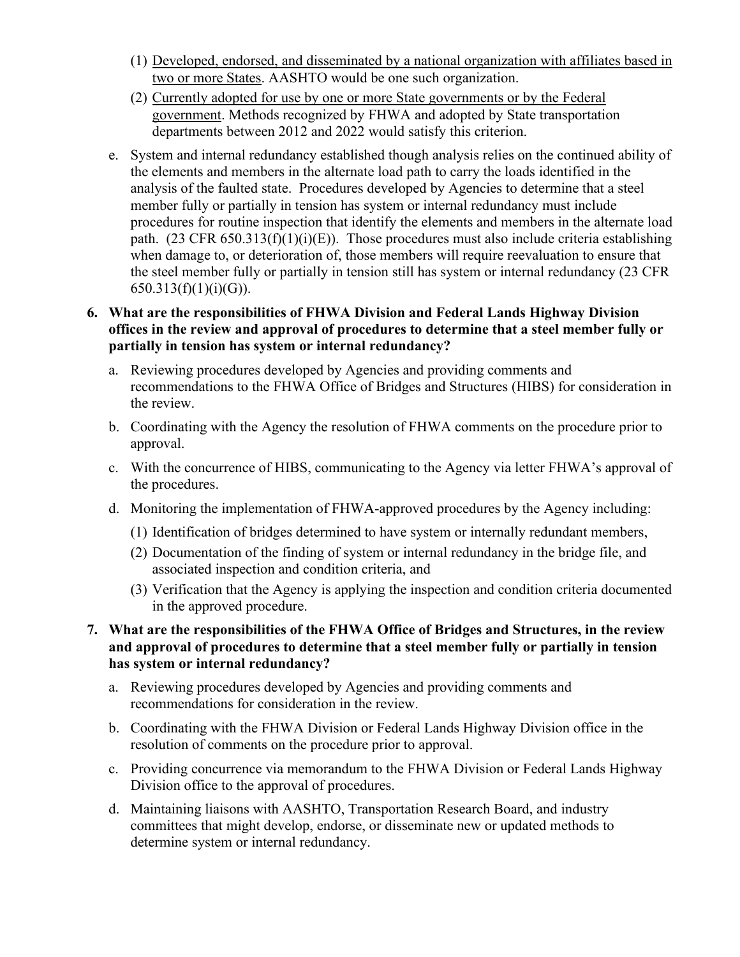- (1) Developed, endorsed, and disseminated by a national organization with affiliates based in two or more States. AASHTO would be one such organization.
- (2) Currently adopted for use by one or more State governments or by the Federal government. Methods recognized by FHWA and adopted by State transportation departments between 2012 and 2022 would satisfy this criterion.
- e. System and internal redundancy established though analysis relies on the continued ability of the elements and members in the alternate load path to carry the loads identified in the analysis of the faulted state. Procedures developed by Agencies to determine that a steel member fully or partially in tension has system or internal redundancy must include procedures for routine inspection that identify the elements and members in the alternate load path.  $(23 \text{ CFR } 650.313(f)(1)(i)(E))$ . Those procedures must also include criteria establishing when damage to, or deterioration of, those members will require reevaluation to ensure that the steel member fully or partially in tension still has system or internal redundancy (23 CFR  $650.313(f)(1)(i)(G)$ ).

# **6. What are the responsibilities of FHWA Division and Federal Lands Highway Division offices in the review and approval of procedures to determine that a steel member fully or partially in tension has system or internal redundancy?**

- a. Reviewing procedures developed by Agencies and providing comments and recommendations to the FHWA Office of Bridges and Structures (HIBS) for consideration in the review.
- b. Coordinating with the Agency the resolution of FHWA comments on the procedure prior to approval.
- c. With the concurrence of HIBS, communicating to the Agency via letter FHWA's approval of the procedures.
- d. Monitoring the implementation of FHWA-approved procedures by the Agency including:
	- (1) Identification of bridges determined to have system or internally redundant members,
	- (2) Documentation of the finding of system or internal redundancy in the bridge file, and associated inspection and condition criteria, and
	- (3) Verification that the Agency is applying the inspection and condition criteria documented in the approved procedure.

#### **7. What are the responsibilities of the FHWA Office of Bridges and Structures, in the review and approval of procedures to determine that a steel member fully or partially in tension has system or internal redundancy?**

- a. Reviewing procedures developed by Agencies and providing comments and recommendations for consideration in the review.
- b. Coordinating with the FHWA Division or Federal Lands Highway Division office in the resolution of comments on the procedure prior to approval.
- c. Providing concurrence via memorandum to the FHWA Division or Federal Lands Highway Division office to the approval of procedures.
- d. Maintaining liaisons with AASHTO, Transportation Research Board, and industry committees that might develop, endorse, or disseminate new or updated methods to determine system or internal redundancy.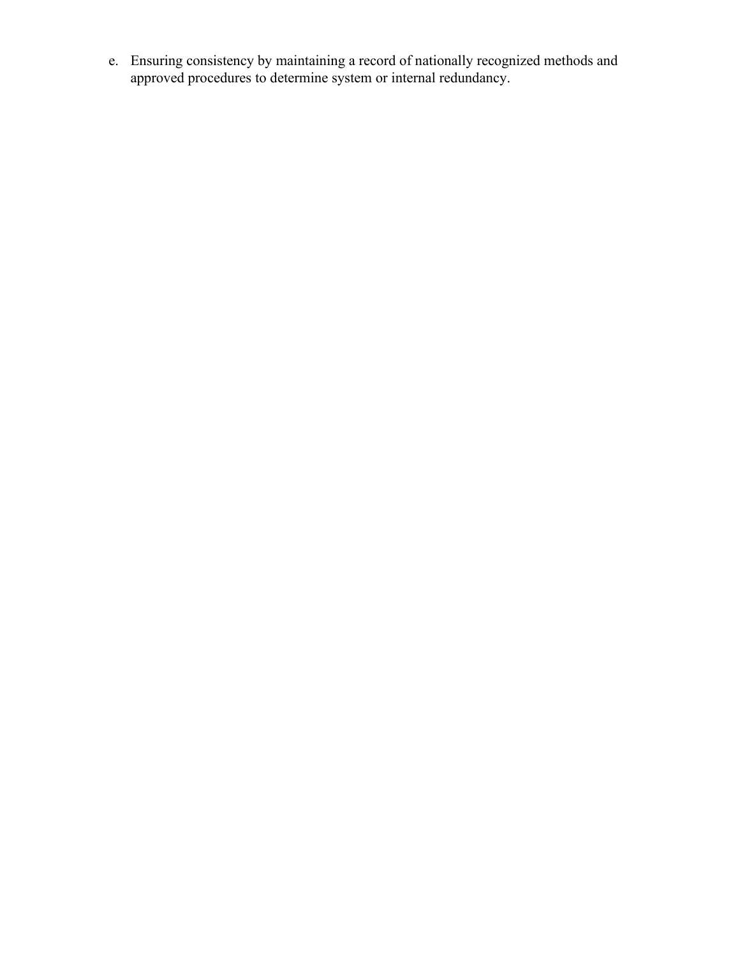e. Ensuring consistency by maintaining a record of nationally recognized methods and approved procedures to determine system or internal redundancy.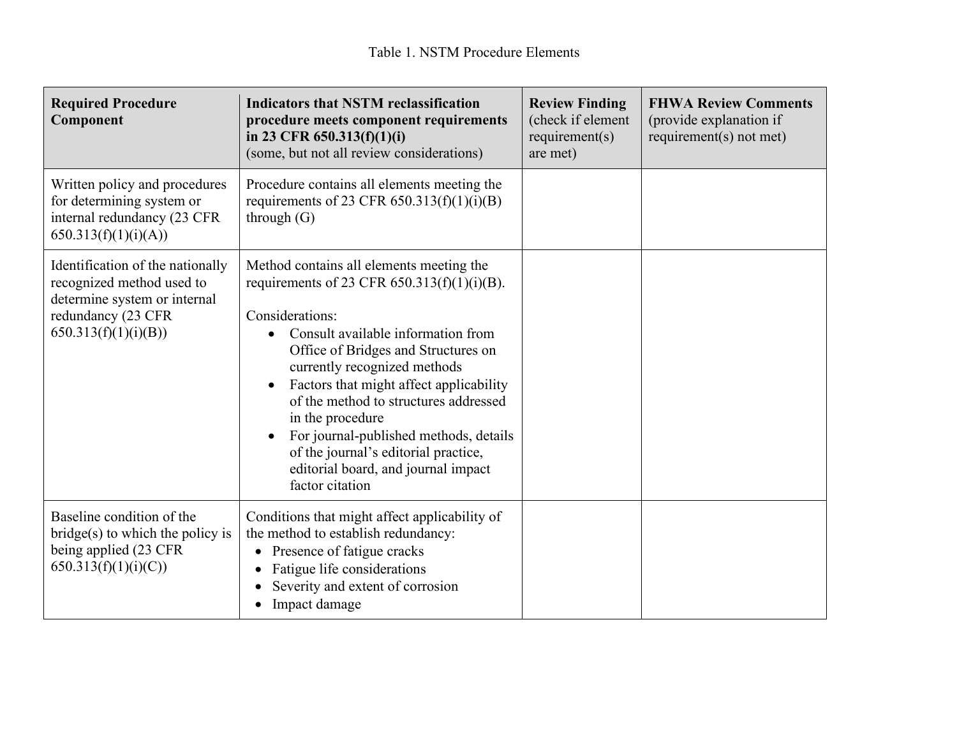| <b>Required Procedure</b><br>Component                                                                                                      | <b>Indicators that NSTM reclassification</b><br>procedure meets component requirements<br>in 23 CFR $650.313(f)(1)(i)$<br>(some, but not all review considerations)                                                                                                                                                                                                                                                                                                                         | <b>Review Finding</b><br>(check if element<br>requirement(s)<br>are met) | <b>FHWA Review Comments</b><br>(provide explanation if<br>requirement( $s$ ) not met) |
|---------------------------------------------------------------------------------------------------------------------------------------------|---------------------------------------------------------------------------------------------------------------------------------------------------------------------------------------------------------------------------------------------------------------------------------------------------------------------------------------------------------------------------------------------------------------------------------------------------------------------------------------------|--------------------------------------------------------------------------|---------------------------------------------------------------------------------------|
| Written policy and procedures<br>for determining system or<br>internal redundancy (23 CFR<br>650.313(f)(1)(i)(A))                           | Procedure contains all elements meeting the<br>requirements of 23 CFR $650.313(f)(1)(i)(B)$<br>through $(G)$                                                                                                                                                                                                                                                                                                                                                                                |                                                                          |                                                                                       |
| Identification of the nationally<br>recognized method used to<br>determine system or internal<br>redundancy (23 CFR<br>650.313(f)(1)(i)(B)) | Method contains all elements meeting the<br>requirements of 23 CFR $650.313(f)(1)(i)(B)$ .<br>Considerations:<br>Consult available information from<br>Office of Bridges and Structures on<br>currently recognized methods<br>Factors that might affect applicability<br>$\bullet$<br>of the method to structures addressed<br>in the procedure<br>For journal-published methods, details<br>of the journal's editorial practice,<br>editorial board, and journal impact<br>factor citation |                                                                          |                                                                                       |
| Baseline condition of the<br>$bridge(s)$ to which the policy is<br>being applied (23 CFR<br>650.313(f)(1)(i)(C))                            | Conditions that might affect applicability of<br>the method to establish redundancy:<br>Presence of fatigue cracks<br>Fatigue life considerations<br>$\bullet$<br>Severity and extent of corrosion<br>Impact damage<br>$\bullet$                                                                                                                                                                                                                                                            |                                                                          |                                                                                       |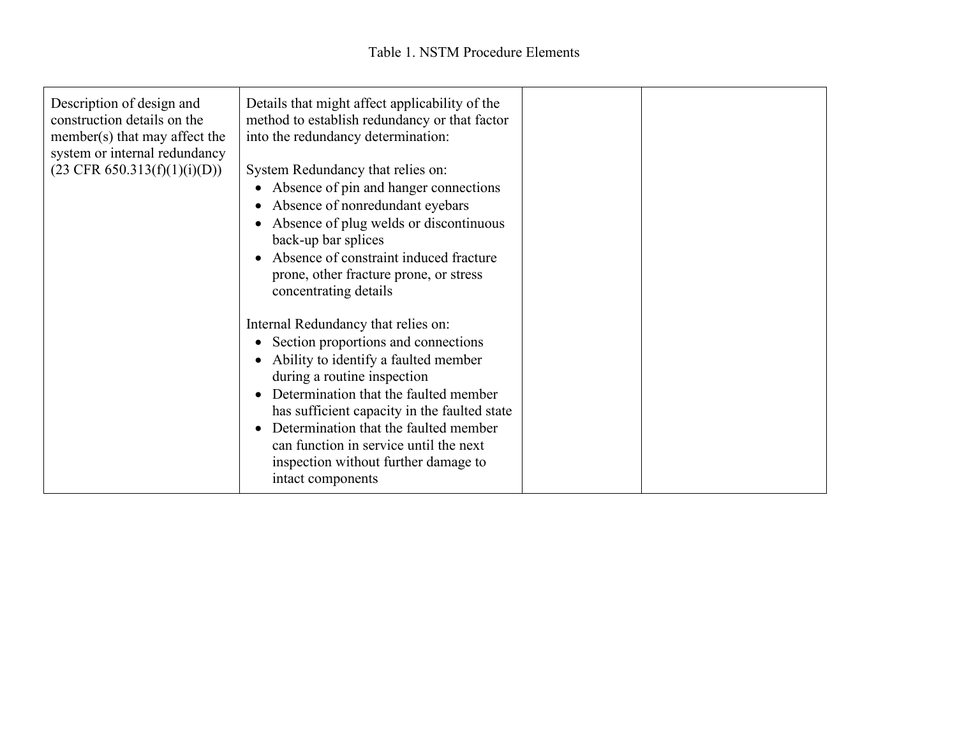| Description of design and<br>construction details on the<br>member(s) that may affect the<br>system or internal redundancy<br>$(23 \text{ CFR } 650.313(f)(1)(i)(D))$ | Details that might affect applicability of the<br>method to establish redundancy or that factor<br>into the redundancy determination:<br>System Redundancy that relies on:<br>Absence of pin and hanger connections<br>$\bullet$<br>Absence of nonredundant eyebars<br>Absence of plug welds or discontinuous<br>back-up bar splices<br>Absence of constraint induced fracture<br>$\bullet$<br>prone, other fracture prone, or stress<br>concentrating details |  |
|-----------------------------------------------------------------------------------------------------------------------------------------------------------------------|----------------------------------------------------------------------------------------------------------------------------------------------------------------------------------------------------------------------------------------------------------------------------------------------------------------------------------------------------------------------------------------------------------------------------------------------------------------|--|
|                                                                                                                                                                       | Internal Redundancy that relies on:<br>Section proportions and connections<br>$\bullet$<br>Ability to identify a faulted member<br>during a routine inspection<br>Determination that the faulted member<br>$\bullet$<br>has sufficient capacity in the faulted state<br>Determination that the faulted member<br>$\bullet$<br>can function in service until the next<br>inspection without further damage to<br>intact components                              |  |